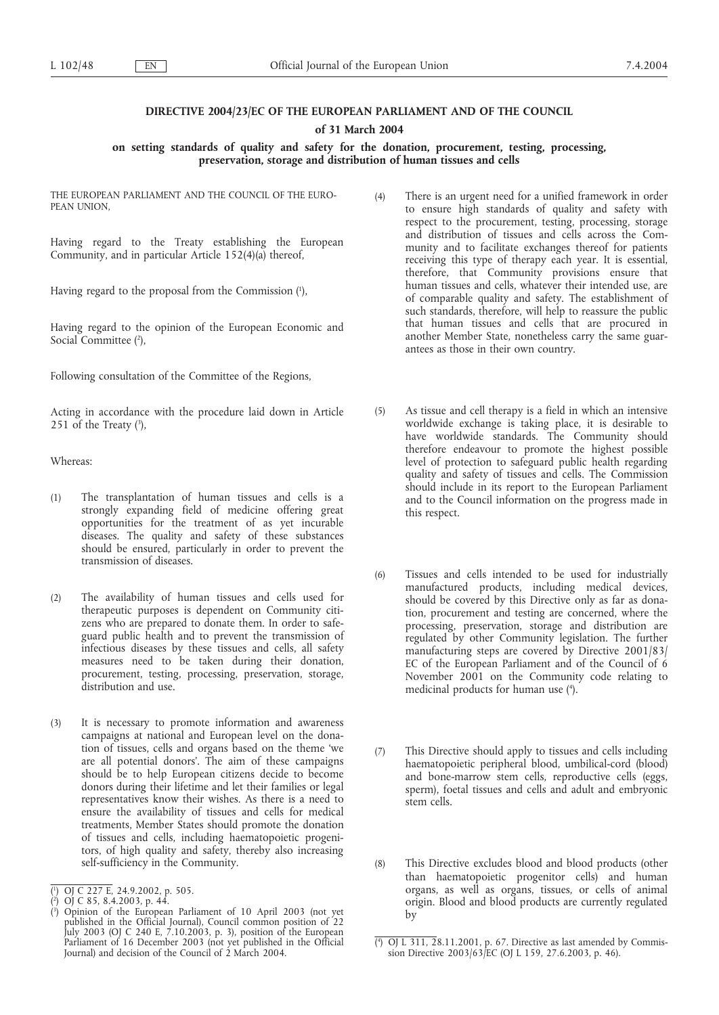# **DIRECTIVE 2004/23/EC OF THE EUROPEAN PARLIAMENT AND OF THE COUNCIL**

**of 31 March 2004**

### **on setting standards of quality and safety for the donation, procurement, testing, processing, preservation, storage and distribution of human tissues and cells**

THE EUROPEAN PARLIAMENT AND THE COUNCIL OF THE EURO-PEAN UNION,

Having regard to the Treaty establishing the European Community, and in particular Article 152(4)(a) thereof,

Having regard to the proposal from the Commission (1 ),

Having regard to the opinion of the European Economic and Social Committee (2),

Following consultation of the Committee of the Regions,

Acting in accordance with the procedure laid down in Article 251 of the Treaty  $(3)$ ,

Whereas:

- (1) The transplantation of human tissues and cells is a strongly expanding field of medicine offering great opportunities for the treatment of as yet incurable diseases. The quality and safety of these substances should be ensured, particularly in order to prevent the transmission of diseases.
- (2) The availability of human tissues and cells used for therapeutic purposes is dependent on Community citizens who are prepared to donate them. In order to safeguard public health and to prevent the transmission of infectious diseases by these tissues and cells, all safety measures need to be taken during their donation, procurement, testing, processing, preservation, storage, distribution and use.
- (3) It is necessary to promote information and awareness campaigns at national and European level on the donation of tissues, cells and organs based on the theme 'we are all potential donors'. The aim of these campaigns should be to help European citizens decide to become donors during their lifetime and let their families or legal representatives know their wishes. As there is a need to ensure the availability of tissues and cells for medical treatments, Member States should promote the donation of tissues and cells, including haematopoietic progenitors, of high quality and safety, thereby also increasing self-sufficiency in the Community.
- (4) There is an urgent need for a unified framework in order to ensure high standards of quality and safety with respect to the procurement, testing, processing, storage and distribution of tissues and cells across the Community and to facilitate exchanges thereof for patients receiving this type of therapy each year. It is essential, therefore, that Community provisions ensure that human tissues and cells, whatever their intended use, are of comparable quality and safety. The establishment of such standards, therefore, will help to reassure the public that human tissues and cells that are procured in another Member State, nonetheless carry the same guarantees as those in their own country.
- (5) As tissue and cell therapy is a field in which an intensive worldwide exchange is taking place, it is desirable to have worldwide standards. The Community should therefore endeavour to promote the highest possible level of protection to safeguard public health regarding quality and safety of tissues and cells. The Commission should include in its report to the European Parliament and to the Council information on the progress made in this respect.
- (6) Tissues and cells intended to be used for industrially manufactured products, including medical devices, should be covered by this Directive only as far as donation, procurement and testing are concerned, where the processing, preservation, storage and distribution are regulated by other Community legislation. The further manufacturing steps are covered by Directive 2001/83/ EC of the European Parliament and of the Council of 6 November 2001 on the Community code relating to medicinal products for human use (4 ).
- (7) This Directive should apply to tissues and cells including haematopoietic peripheral blood, umbilical-cord (blood) and bone-marrow stem cells, reproductive cells (eggs, sperm), foetal tissues and cells and adult and embryonic stem cells.
- (8) This Directive excludes blood and blood products (other than haematopoietic progenitor cells) and human organs, as well as organs, tissues, or cells of animal origin. Blood and blood products are currently regulated by

<sup>(</sup> 1 ) OJ C 227 E, 24.9.2002, p. 505.

<sup>(</sup> 2 ) OJ C 85, 8.4.2003, p. 44.

<sup>(</sup> 3 ) Opinion of the European Parliament of 10 April 2003 (not yet published in the Official Journal), Council common position of 22 July 2003 (OJ C 240 E, 7.10.2003, p. 3), position of the European Parliament of 16 December 2003 (not yet published in the Official Journal) and decision of the Council of 2 March 2004.

<sup>(</sup> 4 ) OJ L 311, 28.11.2001, p. 67. Directive as last amended by Commission Directive 2003/63/EC (OJ L 159, 27.6.2003, p. 46).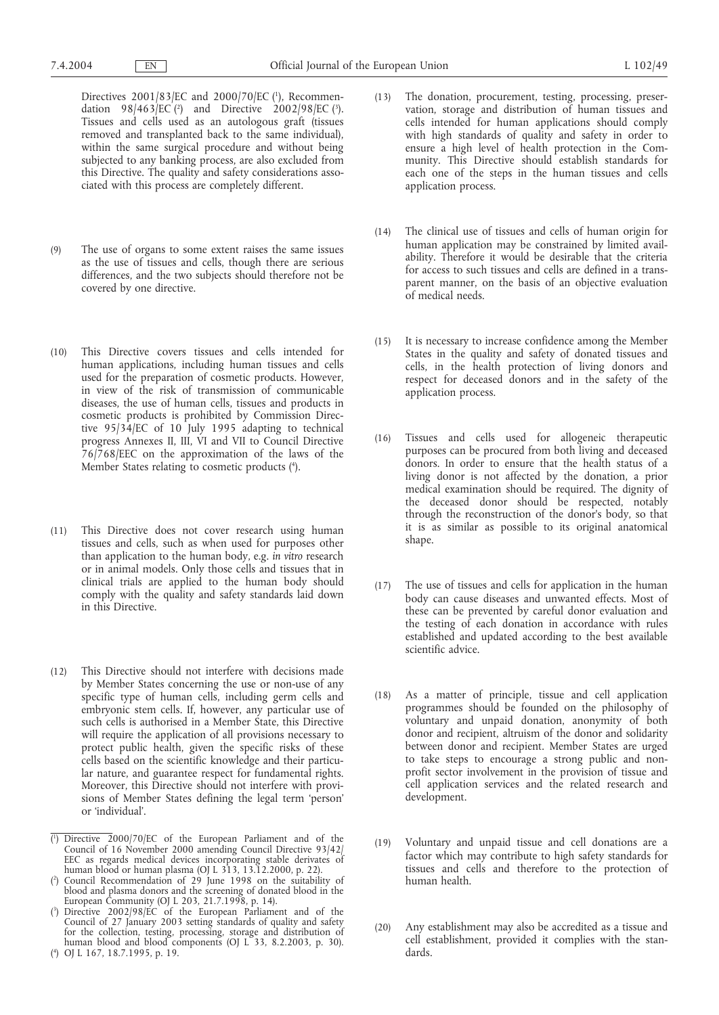- Directives 2001/83/EC and 2000/70/EC (1), Recommendation 98/463/EC (<sup>2</sup>) and Directive 2002/98/EC (<sup>3</sup>). Tissues and cells used as an autologous graft (tissues removed and transplanted back to the same individual), within the same surgical procedure and without being subjected to any banking process, are also excluded from this Directive. The quality and safety considerations associated with this process are completely different.
- (9) The use of organs to some extent raises the same issues as the use of tissues and cells, though there are serious differences, and the two subjects should therefore not be covered by one directive.
- (10) This Directive covers tissues and cells intended for human applications, including human tissues and cells used for the preparation of cosmetic products. However, in view of the risk of transmission of communicable diseases, the use of human cells, tissues and products in cosmetic products is prohibited by Commission Directive 95/34/EC of 10 July 1995 adapting to technical progress Annexes II, III, VI and VII to Council Directive 76/768/EEC on the approximation of the laws of the Member States relating to cosmetic products (4).
- (11) This Directive does not cover research using human tissues and cells, such as when used for purposes other than application to the human body, e.g. *in vitro* research or in animal models. Only those cells and tissues that in clinical trials are applied to the human body should comply with the quality and safety standards laid down in this Directive.
- (12) This Directive should not interfere with decisions made by Member States concerning the use or non-use of any specific type of human cells, including germ cells and embryonic stem cells. If, however, any particular use of such cells is authorised in a Member State, this Directive will require the application of all provisions necessary to protect public health, given the specific risks of these cells based on the scientific knowledge and their particular nature, and guarantee respect for fundamental rights. Moreover, this Directive should not interfere with provisions of Member States defining the legal term 'person' or 'individual'.

- ( 2 ) Council Recommendation of 29 June 1998 on the suitability of blood and plasma donors and the screening of donated blood in the European Community (OJ L 203, 21.7.1998, p. 14).
- ( 3 ) Directive 2002/98/EC of the European Parliament and of the Council of 27 January 2003 setting standards of quality and safety for the collection, testing, processing, storage and distribution of human blood and blood components (OJ L 33, 8.2.2003, p. 30).
- (13) The donation, procurement, testing, processing, preservation, storage and distribution of human tissues and cells intended for human applications should comply with high standards of quality and safety in order to ensure a high level of health protection in the Community. This Directive should establish standards for each one of the steps in the human tissues and cells application process.
- (14) The clinical use of tissues and cells of human origin for human application may be constrained by limited availability. Therefore it would be desirable that the criteria for access to such tissues and cells are defined in a transparent manner, on the basis of an objective evaluation of medical needs.
- (15) It is necessary to increase confidence among the Member States in the quality and safety of donated tissues and cells, in the health protection of living donors and respect for deceased donors and in the safety of the application process.
- (16) Tissues and cells used for allogeneic therapeutic purposes can be procured from both living and deceased donors. In order to ensure that the health status of a living donor is not affected by the donation, a prior medical examination should be required. The dignity of the deceased donor should be respected, notably through the reconstruction of the donor's body, so that it is as similar as possible to its original anatomical shape.
- (17) The use of tissues and cells for application in the human body can cause diseases and unwanted effects. Most of these can be prevented by careful donor evaluation and the testing of each donation in accordance with rules established and updated according to the best available scientific advice.
- (18) As a matter of principle, tissue and cell application programmes should be founded on the philosophy of voluntary and unpaid donation, anonymity of both donor and recipient, altruism of the donor and solidarity between donor and recipient. Member States are urged to take steps to encourage a strong public and nonprofit sector involvement in the provision of tissue and cell application services and the related research and development.
- (19) Voluntary and unpaid tissue and cell donations are a factor which may contribute to high safety standards for tissues and cells and therefore to the protection of human health.
- (20) Any establishment may also be accredited as a tissue and cell establishment, provided it complies with the standards.

<sup>(</sup> 1 ) Directive 2000/70/EC of the European Parliament and of the Council of 16 November 2000 amending Council Directive 93/42/ EEC as regards medical devices incorporating stable derivates of human blood or human plasma (OJ L 313, 13.12.2000, p. 22).

<sup>(</sup> 4 ) OJ L 167, 18.7.1995, p. 19.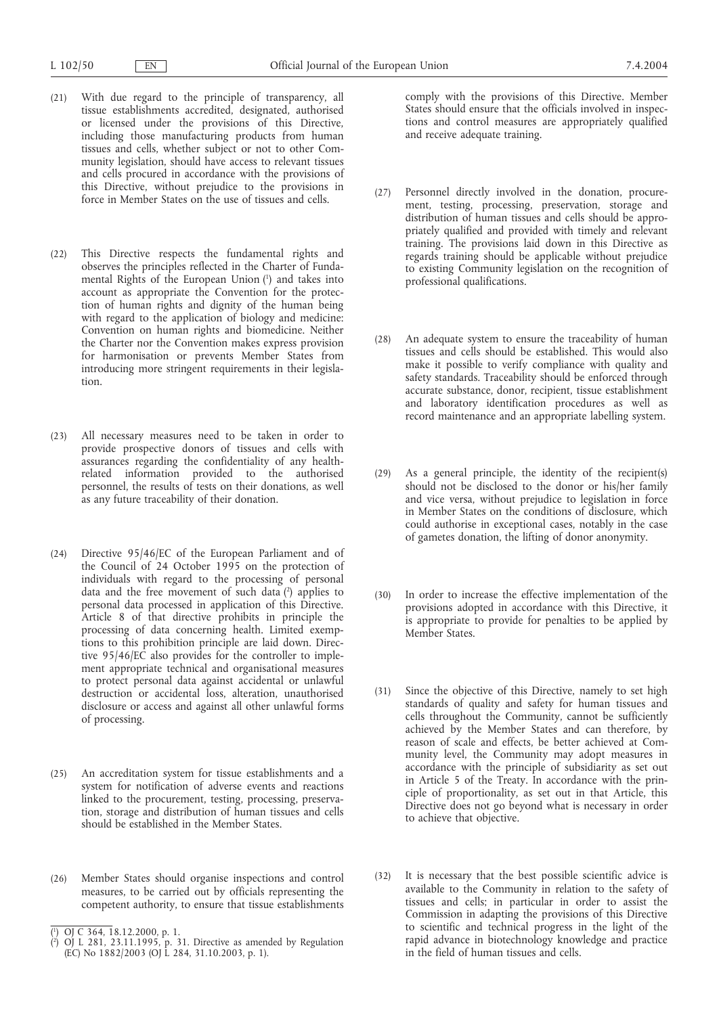- (21) With due regard to the principle of transparency, all tissue establishments accredited, designated, authorised or licensed under the provisions of this Directive, including those manufacturing products from human tissues and cells, whether subject or not to other Community legislation, should have access to relevant tissues and cells procured in accordance with the provisions of this Directive, without prejudice to the provisions in force in Member States on the use of tissues and cells.
- (22) This Directive respects the fundamental rights and observes the principles reflected in the Charter of Fundamental Rights of the European Union (1 ) and takes into account as appropriate the Convention for the protection of human rights and dignity of the human being with regard to the application of biology and medicine: Convention on human rights and biomedicine. Neither the Charter nor the Convention makes express provision for harmonisation or prevents Member States from introducing more stringent requirements in their legislation.
- (23) All necessary measures need to be taken in order to provide prospective donors of tissues and cells with assurances regarding the confidentiality of any healthrelated information provided to the authorised personnel, the results of tests on their donations, as well as any future traceability of their donation.
- (24) Directive 95/46/EC of the European Parliament and of the Council of 24 October 1995 on the protection of individuals with regard to the processing of personal data and the free movement of such data (2) applies to personal data processed in application of this Directive. Article 8 of that directive prohibits in principle the processing of data concerning health. Limited exemptions to this prohibition principle are laid down. Directive 95/46/EC also provides for the controller to implement appropriate technical and organisational measures to protect personal data against accidental or unlawful destruction or accidental loss, alteration, unauthorised disclosure or access and against all other unlawful forms of processing.
- (25) An accreditation system for tissue establishments and a system for notification of adverse events and reactions linked to the procurement, testing, processing, preservation, storage and distribution of human tissues and cells should be established in the Member States.
- (26) Member States should organise inspections and control measures, to be carried out by officials representing the competent authority, to ensure that tissue establishments

comply with the provisions of this Directive. Member States should ensure that the officials involved in inspections and control measures are appropriately qualified and receive adequate training.

- (27) Personnel directly involved in the donation, procurement, testing, processing, preservation, storage and distribution of human tissues and cells should be appropriately qualified and provided with timely and relevant training. The provisions laid down in this Directive as regards training should be applicable without prejudice to existing Community legislation on the recognition of professional qualifications.
- (28) An adequate system to ensure the traceability of human tissues and cells should be established. This would also make it possible to verify compliance with quality and safety standards. Traceability should be enforced through accurate substance, donor, recipient, tissue establishment and laboratory identification procedures as well as record maintenance and an appropriate labelling system.
- (29) As a general principle, the identity of the recipient(s) should not be disclosed to the donor or his/her family and vice versa, without prejudice to legislation in force in Member States on the conditions of disclosure, which could authorise in exceptional cases, notably in the case of gametes donation, the lifting of donor anonymity.
- (30) In order to increase the effective implementation of the provisions adopted in accordance with this Directive, it is appropriate to provide for penalties to be applied by Member States.
- (31) Since the objective of this Directive, namely to set high standards of quality and safety for human tissues and cells throughout the Community, cannot be sufficiently achieved by the Member States and can therefore, by reason of scale and effects, be better achieved at Community level, the Community may adopt measures in accordance with the principle of subsidiarity as set out in Article 5 of the Treaty. In accordance with the principle of proportionality, as set out in that Article, this Directive does not go beyond what is necessary in order to achieve that objective.
- (32) It is necessary that the best possible scientific advice is available to the Community in relation to the safety of tissues and cells; in particular in order to assist the Commission in adapting the provisions of this Directive to scientific and technical progress in the light of the rapid advance in biotechnology knowledge and practice in the field of human tissues and cells.

<sup>(</sup> 1 ) OJ C 364, 18.12.2000, p. 1.

<sup>(</sup> 2 ) OJ L 281, 23.11.1995, p. 31. Directive as amended by Regulation (EC) No 1882/2003 (OJ L 284, 31.10.2003, p. 1).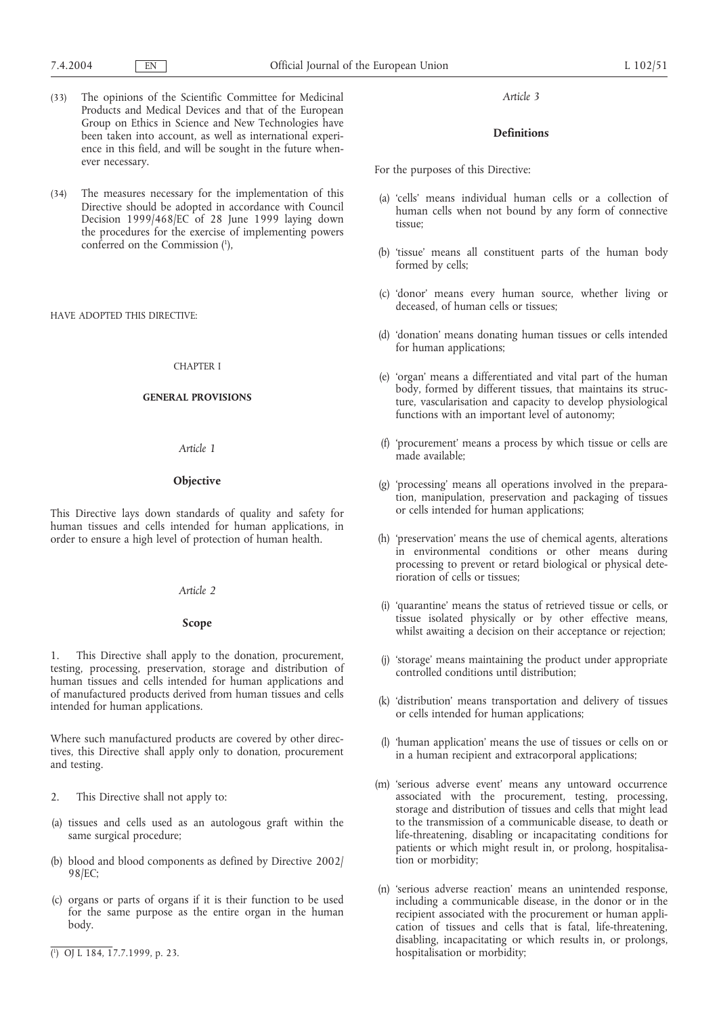- (33) The opinions of the Scientific Committee for Medicinal Products and Medical Devices and that of the European Group on Ethics in Science and New Technologies have been taken into account, as well as international experience in this field, and will be sought in the future whenever necessary.
- (34) The measures necessary for the implementation of this Directive should be adopted in accordance with Council Decision 1999/468/EC of 28 June 1999 laying down the procedures for the exercise of implementing powers conferred on the Commission (1 ),

### HAVE ADOPTED THIS DIRECTIVE:

### CHAPTER I

# **GENERAL PROVISIONS**

#### *Article 1*

### **Objective**

This Directive lays down standards of quality and safety for human tissues and cells intended for human applications, in order to ensure a high level of protection of human health.

#### *Article 2*

### **Scope**

1. This Directive shall apply to the donation, procurement, testing, processing, preservation, storage and distribution of human tissues and cells intended for human applications and of manufactured products derived from human tissues and cells intended for human applications.

Where such manufactured products are covered by other directives, this Directive shall apply only to donation, procurement and testing.

- 2. This Directive shall not apply to:
- (a) tissues and cells used as an autologous graft within the same surgical procedure;
- (b) blood and blood components as defined by Directive 2002/ 98/EC;
- (c) organs or parts of organs if it is their function to be used for the same purpose as the entire organ in the human body.
- ( 1 ) OJ L 184, 17.7.1999, p. 23.

#### *Article 3*

### **Definitions**

For the purposes of this Directive:

- (a) 'cells' means individual human cells or a collection of human cells when not bound by any form of connective tissue;
- (b) 'tissue' means all constituent parts of the human body formed by cells;
- (c) 'donor' means every human source, whether living or deceased, of human cells or tissues;
- (d) 'donation' means donating human tissues or cells intended for human applications;
- (e) 'organ' means a differentiated and vital part of the human body, formed by different tissues, that maintains its structure, vascularisation and capacity to develop physiological functions with an important level of autonomy;
- (f) 'procurement' means a process by which tissue or cells are made available;
- (g) 'processing' means all operations involved in the preparation, manipulation, preservation and packaging of tissues or cells intended for human applications;
- (h) 'preservation' means the use of chemical agents, alterations in environmental conditions or other means during processing to prevent or retard biological or physical deterioration of cells or tissues;
- (i) 'quarantine' means the status of retrieved tissue or cells, or tissue isolated physically or by other effective means, whilst awaiting a decision on their acceptance or rejection;
- (j) 'storage' means maintaining the product under appropriate controlled conditions until distribution;
- (k) 'distribution' means transportation and delivery of tissues or cells intended for human applications;
- (l) 'human application' means the use of tissues or cells on or in a human recipient and extracorporal applications;
- (m) 'serious adverse event' means any untoward occurrence associated with the procurement, testing, processing, storage and distribution of tissues and cells that might lead to the transmission of a communicable disease, to death or life-threatening, disabling or incapacitating conditions for patients or which might result in, or prolong, hospitalisation or morbidity;
- (n) 'serious adverse reaction' means an unintended response, including a communicable disease, in the donor or in the recipient associated with the procurement or human application of tissues and cells that is fatal, life-threatening, disabling, incapacitating or which results in, or prolongs, hospitalisation or morbidity;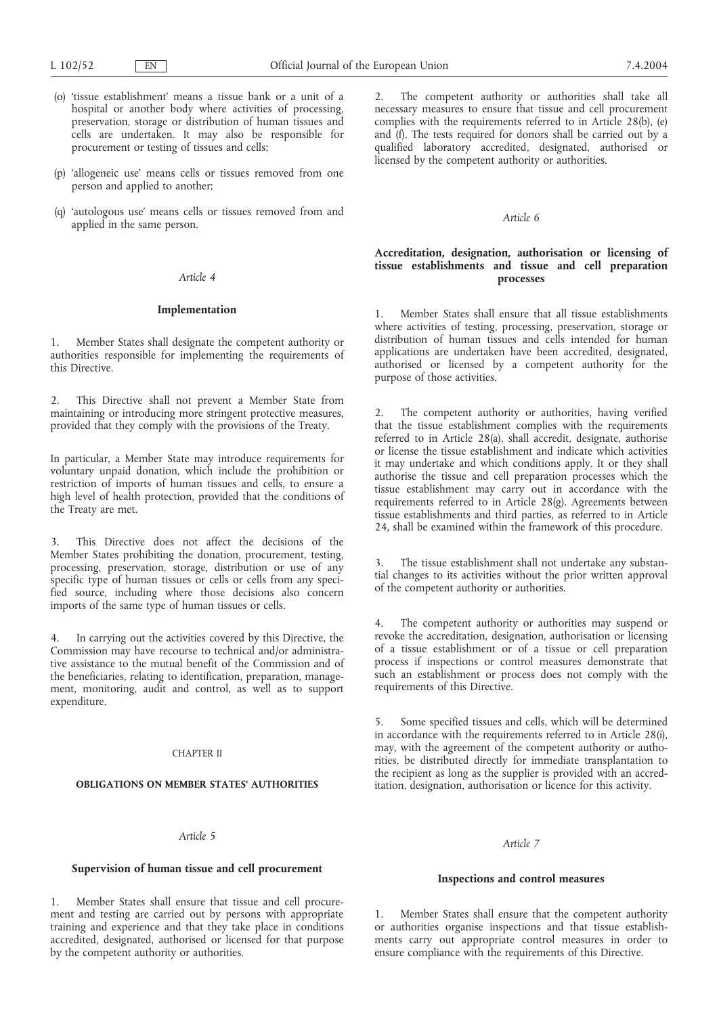- (o) 'tissue establishment' means a tissue bank or a unit of a hospital or another body where activities of processing, preservation, storage or distribution of human tissues and cells are undertaken. It may also be responsible for procurement or testing of tissues and cells;
- (p) 'allogeneic use' means cells or tissues removed from one person and applied to another;
- (q) 'autologous use' means cells or tissues removed from and applied in the same person.

### *Article 4*

### **Implementation**

1. Member States shall designate the competent authority or authorities responsible for implementing the requirements of this Directive.

2. This Directive shall not prevent a Member State from maintaining or introducing more stringent protective measures, provided that they comply with the provisions of the Treaty.

In particular, a Member State may introduce requirements for voluntary unpaid donation, which include the prohibition or restriction of imports of human tissues and cells, to ensure a high level of health protection, provided that the conditions of the Treaty are met.

3. This Directive does not affect the decisions of the Member States prohibiting the donation, procurement, testing, processing, preservation, storage, distribution or use of any specific type of human tissues or cells or cells from any specified source, including where those decisions also concern imports of the same type of human tissues or cells.

4. In carrying out the activities covered by this Directive, the Commission may have recourse to technical and/or administrative assistance to the mutual benefit of the Commission and of the beneficiaries, relating to identification, preparation, management, monitoring, audit and control, as well as to support expenditure.

#### CHAPTER II

### **OBLIGATIONS ON MEMBER STATES' AUTHORITIES**

### *Article 5*

### **Supervision of human tissue and cell procurement**

1. Member States shall ensure that tissue and cell procurement and testing are carried out by persons with appropriate training and experience and that they take place in conditions accredited, designated, authorised or licensed for that purpose by the competent authority or authorities.

2. The competent authority or authorities shall take all necessary measures to ensure that tissue and cell procurement complies with the requirements referred to in Article 28(b), (e) and (f). The tests required for donors shall be carried out by a qualified laboratory accredited, designated, authorised or licensed by the competent authority or authorities.

### *Article 6*

## **Accreditation, designation, authorisation or licensing of tissue establishments and tissue and cell preparation processes**

Member States shall ensure that all tissue establishments where activities of testing, processing, preservation, storage or distribution of human tissues and cells intended for human applications are undertaken have been accredited, designated, authorised or licensed by a competent authority for the purpose of those activities.

2. The competent authority or authorities, having verified that the tissue establishment complies with the requirements referred to in Article 28(a), shall accredit, designate, authorise or license the tissue establishment and indicate which activities it may undertake and which conditions apply. It or they shall authorise the tissue and cell preparation processes which the tissue establishment may carry out in accordance with the requirements referred to in Article 28(g). Agreements between tissue establishments and third parties, as referred to in Article 24, shall be examined within the framework of this procedure.

3. The tissue establishment shall not undertake any substantial changes to its activities without the prior written approval of the competent authority or authorities.

4. The competent authority or authorities may suspend or revoke the accreditation, designation, authorisation or licensing of a tissue establishment or of a tissue or cell preparation process if inspections or control measures demonstrate that such an establishment or process does not comply with the requirements of this Directive.

5. Some specified tissues and cells, which will be determined in accordance with the requirements referred to in Article 28(i), may, with the agreement of the competent authority or authorities, be distributed directly for immediate transplantation to the recipient as long as the supplier is provided with an accreditation, designation, authorisation or licence for this activity.

#### *Article 7*

#### **Inspections and control measures**

1. Member States shall ensure that the competent authority or authorities organise inspections and that tissue establishments carry out appropriate control measures in order to ensure compliance with the requirements of this Directive.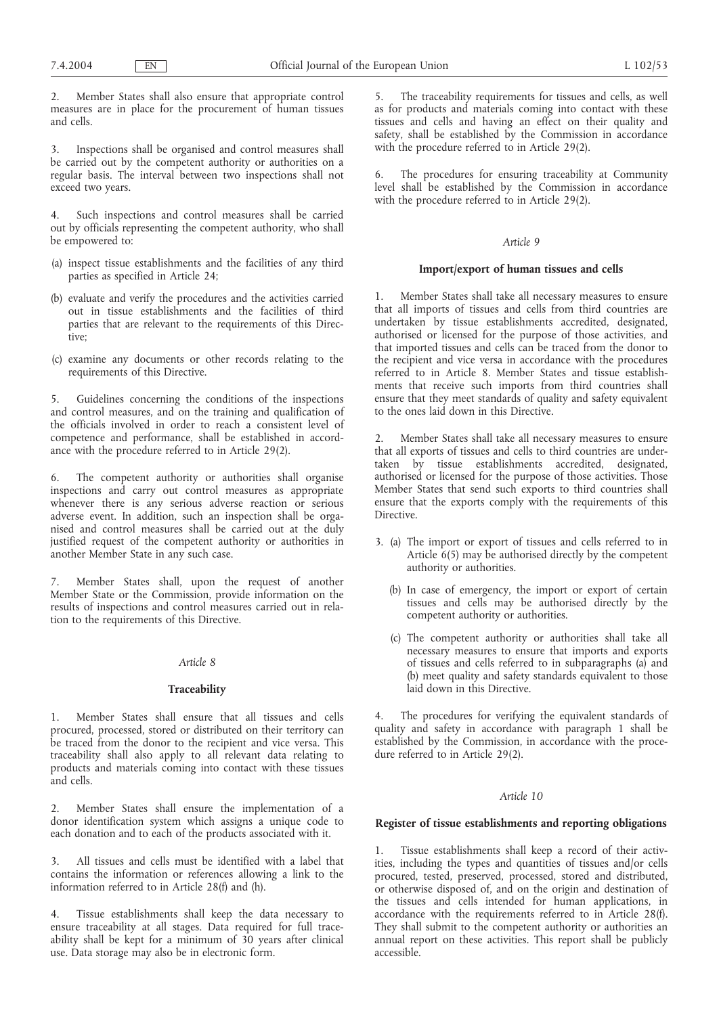2. Member States shall also ensure that appropriate control measures are in place for the procurement of human tissues and cells.

3. Inspections shall be organised and control measures shall be carried out by the competent authority or authorities on a regular basis. The interval between two inspections shall not exceed two years.

4. Such inspections and control measures shall be carried out by officials representing the competent authority, who shall be empowered to:

- (a) inspect tissue establishments and the facilities of any third parties as specified in Article 24;
- (b) evaluate and verify the procedures and the activities carried out in tissue establishments and the facilities of third parties that are relevant to the requirements of this Directive;
- (c) examine any documents or other records relating to the requirements of this Directive.

5. Guidelines concerning the conditions of the inspections and control measures, and on the training and qualification of the officials involved in order to reach a consistent level of competence and performance, shall be established in accordance with the procedure referred to in Article 29(2).

6. The competent authority or authorities shall organise inspections and carry out control measures as appropriate whenever there is any serious adverse reaction or serious adverse event. In addition, such an inspection shall be organised and control measures shall be carried out at the duly justified request of the competent authority or authorities in another Member State in any such case.

7. Member States shall, upon the request of another Member State or the Commission, provide information on the results of inspections and control measures carried out in relation to the requirements of this Directive.

### *Article 8*

#### **Traceability**

1. Member States shall ensure that all tissues and cells procured, processed, stored or distributed on their territory can be traced from the donor to the recipient and vice versa. This traceability shall also apply to all relevant data relating to products and materials coming into contact with these tissues and cells.

2. Member States shall ensure the implementation of a donor identification system which assigns a unique code to each donation and to each of the products associated with it.

3. All tissues and cells must be identified with a label that contains the information or references allowing a link to the information referred to in Article 28(f) and (h).

4. Tissue establishments shall keep the data necessary to ensure traceability at all stages. Data required for full traceability shall be kept for a minimum of 30 years after clinical use. Data storage may also be in electronic form.

5. The traceability requirements for tissues and cells, as well as for products and materials coming into contact with these tissues and cells and having an effect on their quality and safety, shall be established by the Commission in accordance with the procedure referred to in Article 29(2).

6. The procedures for ensuring traceability at Community level shall be established by the Commission in accordance with the procedure referred to in Article 29(2).

#### *Article 9*

### **Import/export of human tissues and cells**

Member States shall take all necessary measures to ensure that all imports of tissues and cells from third countries are undertaken by tissue establishments accredited, designated, authorised or licensed for the purpose of those activities, and that imported tissues and cells can be traced from the donor to the recipient and vice versa in accordance with the procedures referred to in Article 8. Member States and tissue establishments that receive such imports from third countries shall ensure that they meet standards of quality and safety equivalent to the ones laid down in this Directive.

2. Member States shall take all necessary measures to ensure that all exports of tissues and cells to third countries are undertaken by tissue establishments accredited, designated, authorised or licensed for the purpose of those activities. Those Member States that send such exports to third countries shall ensure that the exports comply with the requirements of this Directive.

- 3. (a) The import or export of tissues and cells referred to in Article 6(5) may be authorised directly by the competent authority or authorities.
	- (b) In case of emergency, the import or export of certain tissues and cells may be authorised directly by the competent authority or authorities.
	- (c) The competent authority or authorities shall take all necessary measures to ensure that imports and exports of tissues and cells referred to in subparagraphs (a) and (b) meet quality and safety standards equivalent to those laid down in this Directive.

The procedures for verifying the equivalent standards of quality and safety in accordance with paragraph 1 shall be established by the Commission, in accordance with the procedure referred to in Article 29(2).

### *Article 10*

# **Register of tissue establishments and reporting obligations**

1. Tissue establishments shall keep a record of their activities, including the types and quantities of tissues and/or cells procured, tested, preserved, processed, stored and distributed, or otherwise disposed of, and on the origin and destination of the tissues and cells intended for human applications, in accordance with the requirements referred to in Article 28(f). They shall submit to the competent authority or authorities an annual report on these activities. This report shall be publicly accessible.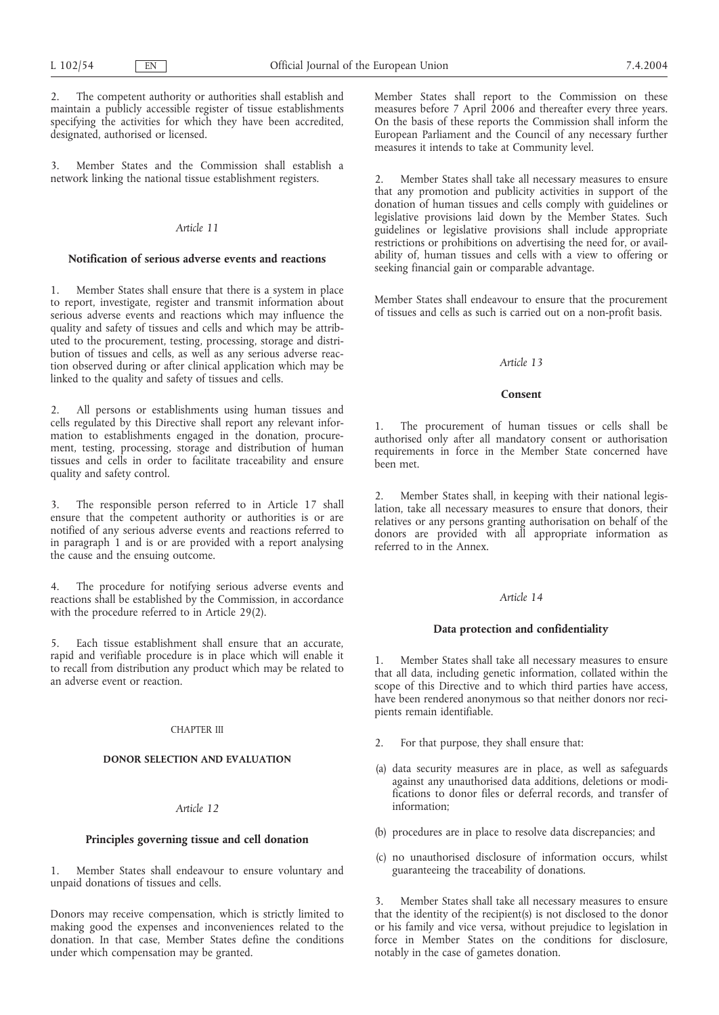2. The competent authority or authorities shall establish and maintain a publicly accessible register of tissue establishments specifying the activities for which they have been accredited, designated, authorised or licensed.

3. Member States and the Commission shall establish a network linking the national tissue establishment registers.

### *Article 11*

# **Notification of serious adverse events and reactions**

1. Member States shall ensure that there is a system in place to report, investigate, register and transmit information about serious adverse events and reactions which may influence the quality and safety of tissues and cells and which may be attributed to the procurement, testing, processing, storage and distribution of tissues and cells, as well as any serious adverse reaction observed during or after clinical application which may be linked to the quality and safety of tissues and cells.

2. All persons or establishments using human tissues and cells regulated by this Directive shall report any relevant information to establishments engaged in the donation, procurement, testing, processing, storage and distribution of human tissues and cells in order to facilitate traceability and ensure quality and safety control.

3. The responsible person referred to in Article 17 shall ensure that the competent authority or authorities is or are notified of any serious adverse events and reactions referred to in paragraph 1 and is or are provided with a report analysing the cause and the ensuing outcome.

4. The procedure for notifying serious adverse events and reactions shall be established by the Commission, in accordance with the procedure referred to in Article 29(2).

5. Each tissue establishment shall ensure that an accurate, rapid and verifiable procedure is in place which will enable it to recall from distribution any product which may be related to an adverse event or reaction.

#### CHAPTER III

### **DONOR SELECTION AND EVALUATION**

### *Article 12*

### **Principles governing tissue and cell donation**

1. Member States shall endeavour to ensure voluntary and unpaid donations of tissues and cells.

Donors may receive compensation, which is strictly limited to making good the expenses and inconveniences related to the donation. In that case, Member States define the conditions under which compensation may be granted.

Member States shall report to the Commission on these measures before 7 April 2006 and thereafter every three years. On the basis of these reports the Commission shall inform the European Parliament and the Council of any necessary further measures it intends to take at Community level.

2. Member States shall take all necessary measures to ensure that any promotion and publicity activities in support of the donation of human tissues and cells comply with guidelines or legislative provisions laid down by the Member States. Such guidelines or legislative provisions shall include appropriate restrictions or prohibitions on advertising the need for, or availability of, human tissues and cells with a view to offering or seeking financial gain or comparable advantage.

Member States shall endeavour to ensure that the procurement of tissues and cells as such is carried out on a non-profit basis.

### *Article 13*

#### **Consent**

1. The procurement of human tissues or cells shall be authorised only after all mandatory consent or authorisation requirements in force in the Member State concerned have been met.

2. Member States shall, in keeping with their national legislation, take all necessary measures to ensure that donors, their relatives or any persons granting authorisation on behalf of the donors are provided with all appropriate information as referred to in the Annex.

### *Article 14*

### **Data protection and confidentiality**

1. Member States shall take all necessary measures to ensure that all data, including genetic information, collated within the scope of this Directive and to which third parties have access, have been rendered anonymous so that neither donors nor recipients remain identifiable.

- 2. For that purpose, they shall ensure that:
- (a) data security measures are in place, as well as safeguards against any unauthorised data additions, deletions or modifications to donor files or deferral records, and transfer of information;
- (b) procedures are in place to resolve data discrepancies; and
- (c) no unauthorised disclosure of information occurs, whilst guaranteeing the traceability of donations.

3. Member States shall take all necessary measures to ensure that the identity of the recipient(s) is not disclosed to the donor or his family and vice versa, without prejudice to legislation in force in Member States on the conditions for disclosure, notably in the case of gametes donation.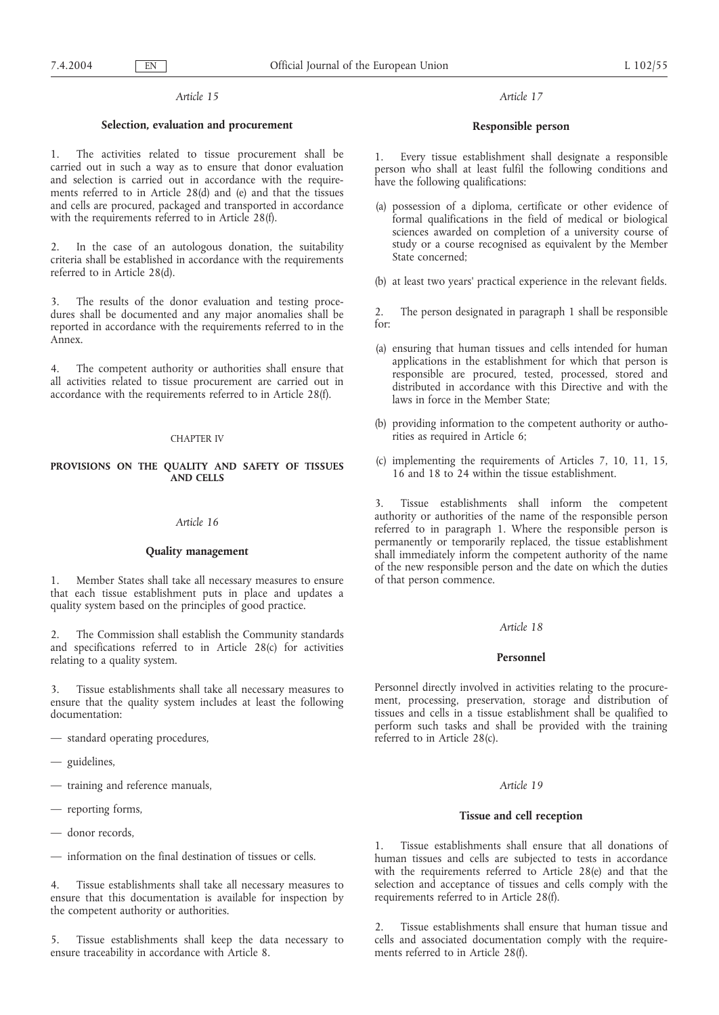#### *Article 15*

# **Selection, evaluation and procurement**

1. The activities related to tissue procurement shall be carried out in such a way as to ensure that donor evaluation and selection is carried out in accordance with the requirements referred to in Article 28(d) and (e) and that the tissues and cells are procured, packaged and transported in accordance with the requirements referred to in Article 28(f).

2. In the case of an autologous donation, the suitability criteria shall be established in accordance with the requirements referred to in Article 28(d).

3. The results of the donor evaluation and testing procedures shall be documented and any major anomalies shall be reported in accordance with the requirements referred to in the Annex.

4. The competent authority or authorities shall ensure that all activities related to tissue procurement are carried out in accordance with the requirements referred to in Article 28(f).

#### CHAPTER IV

### **PROVISIONS ON THE QUALITY AND SAFETY OF TISSUES AND CELLS**

## *Article 16*

### **Quality management**

1. Member States shall take all necessary measures to ensure that each tissue establishment puts in place and updates a quality system based on the principles of good practice.

2. The Commission shall establish the Community standards and specifications referred to in Article 28(c) for activities relating to a quality system.

3. Tissue establishments shall take all necessary measures to ensure that the quality system includes at least the following documentation:

- standard operating procedures,
- guidelines,
- training and reference manuals,
- reporting forms,
- donor records,
- information on the final destination of tissues or cells.

Tissue establishments shall take all necessary measures to ensure that this documentation is available for inspection by the competent authority or authorities.

Tissue establishments shall keep the data necessary to ensure traceability in accordance with Article 8.

### *Article 17*

### **Responsible person**

1. Every tissue establishment shall designate a responsible person who shall at least fulfil the following conditions and have the following qualifications:

- (a) possession of a diploma, certificate or other evidence of formal qualifications in the field of medical or biological sciences awarded on completion of a university course of study or a course recognised as equivalent by the Member State concerned;
- (b) at least two years' practical experience in the relevant fields.

2. The person designated in paragraph 1 shall be responsible for:

- (a) ensuring that human tissues and cells intended for human applications in the establishment for which that person is responsible are procured, tested, processed, stored and distributed in accordance with this Directive and with the laws in force in the Member State;
- (b) providing information to the competent authority or authorities as required in Article 6;
- (c) implementing the requirements of Articles 7, 10, 11, 15, 16 and 18 to 24 within the tissue establishment.

3. Tissue establishments shall inform the competent authority or authorities of the name of the responsible person referred to in paragraph 1. Where the responsible person is permanently or temporarily replaced, the tissue establishment shall immediately inform the competent authority of the name of the new responsible person and the date on which the duties of that person commence.

### *Article 18*

### **Personnel**

Personnel directly involved in activities relating to the procurement, processing, preservation, storage and distribution of tissues and cells in a tissue establishment shall be qualified to perform such tasks and shall be provided with the training referred to in Article 28(c).

### *Article 19*

### **Tissue and cell reception**

1. Tissue establishments shall ensure that all donations of human tissues and cells are subjected to tests in accordance with the requirements referred to Article 28(e) and that the selection and acceptance of tissues and cells comply with the requirements referred to in Article 28(f).

2. Tissue establishments shall ensure that human tissue and cells and associated documentation comply with the requirements referred to in Article 28(f).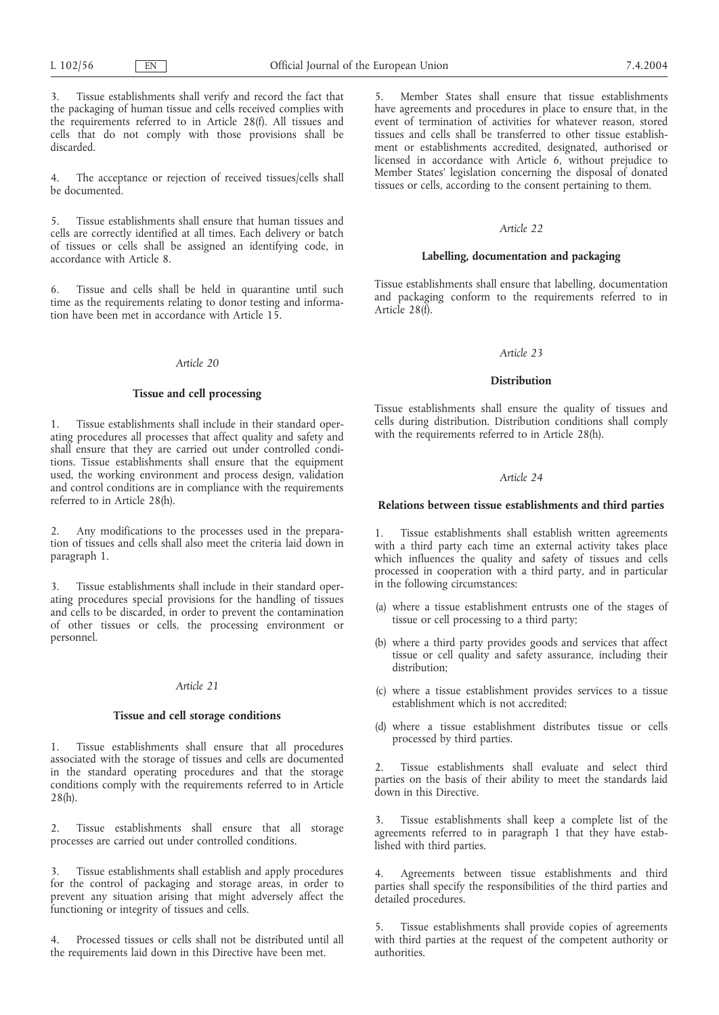3. Tissue establishments shall verify and record the fact that the packaging of human tissue and cells received complies with the requirements referred to in Article 28(f). All tissues and cells that do not comply with those provisions shall be discarded.

4. The acceptance or rejection of received tissues/cells shall be documented.

5. Tissue establishments shall ensure that human tissues and cells are correctly identified at all times. Each delivery or batch of tissues or cells shall be assigned an identifying code, in accordance with Article 8.

6. Tissue and cells shall be held in quarantine until such time as the requirements relating to donor testing and information have been met in accordance with Article 15.

## *Article 20*

## **Tissue and cell processing**

1. Tissue establishments shall include in their standard operating procedures all processes that affect quality and safety and shall ensure that they are carried out under controlled conditions. Tissue establishments shall ensure that the equipment used, the working environment and process design, validation and control conditions are in compliance with the requirements referred to in Article 28(h).

2. Any modifications to the processes used in the preparation of tissues and cells shall also meet the criteria laid down in paragraph 1.

3. Tissue establishments shall include in their standard operating procedures special provisions for the handling of tissues and cells to be discarded, in order to prevent the contamination of other tissues or cells, the processing environment or personnel.

#### *Article 21*

### **Tissue and cell storage conditions**

1. Tissue establishments shall ensure that all procedures associated with the storage of tissues and cells are documented in the standard operating procedures and that the storage conditions comply with the requirements referred to in Article 28(h).

2. Tissue establishments shall ensure that all storage processes are carried out under controlled conditions.

Tissue establishments shall establish and apply procedures for the control of packaging and storage areas, in order to prevent any situation arising that might adversely affect the functioning or integrity of tissues and cells.

4. Processed tissues or cells shall not be distributed until all the requirements laid down in this Directive have been met.

5. Member States shall ensure that tissue establishments have agreements and procedures in place to ensure that, in the event of termination of activities for whatever reason, stored tissues and cells shall be transferred to other tissue establishment or establishments accredited, designated, authorised or licensed in accordance with Article 6, without prejudice to Member States' legislation concerning the disposal of donated tissues or cells, according to the consent pertaining to them.

#### *Article 22*

### **Labelling, documentation and packaging**

Tissue establishments shall ensure that labelling, documentation and packaging conform to the requirements referred to in Article 28(f).

### *Article 23*

#### **Distribution**

Tissue establishments shall ensure the quality of tissues and cells during distribution. Distribution conditions shall comply with the requirements referred to in Article 28(h).

### *Article 24*

### **Relations between tissue establishments and third parties**

1. Tissue establishments shall establish written agreements with a third party each time an external activity takes place which influences the quality and safety of tissues and cells processed in cooperation with a third party, and in particular in the following circumstances:

- (a) where a tissue establishment entrusts one of the stages of tissue or cell processing to a third party;
- (b) where a third party provides goods and services that affect tissue or cell quality and safety assurance, including their distribution;
- (c) where a tissue establishment provides services to a tissue establishment which is not accredited;
- (d) where a tissue establishment distributes tissue or cells processed by third parties.

2. Tissue establishments shall evaluate and select third parties on the basis of their ability to meet the standards laid down in this Directive.

3. Tissue establishments shall keep a complete list of the agreements referred to in paragraph 1 that they have established with third parties.

4. Agreements between tissue establishments and third parties shall specify the responsibilities of the third parties and detailed procedures.

5. Tissue establishments shall provide copies of agreements with third parties at the request of the competent authority or authorities.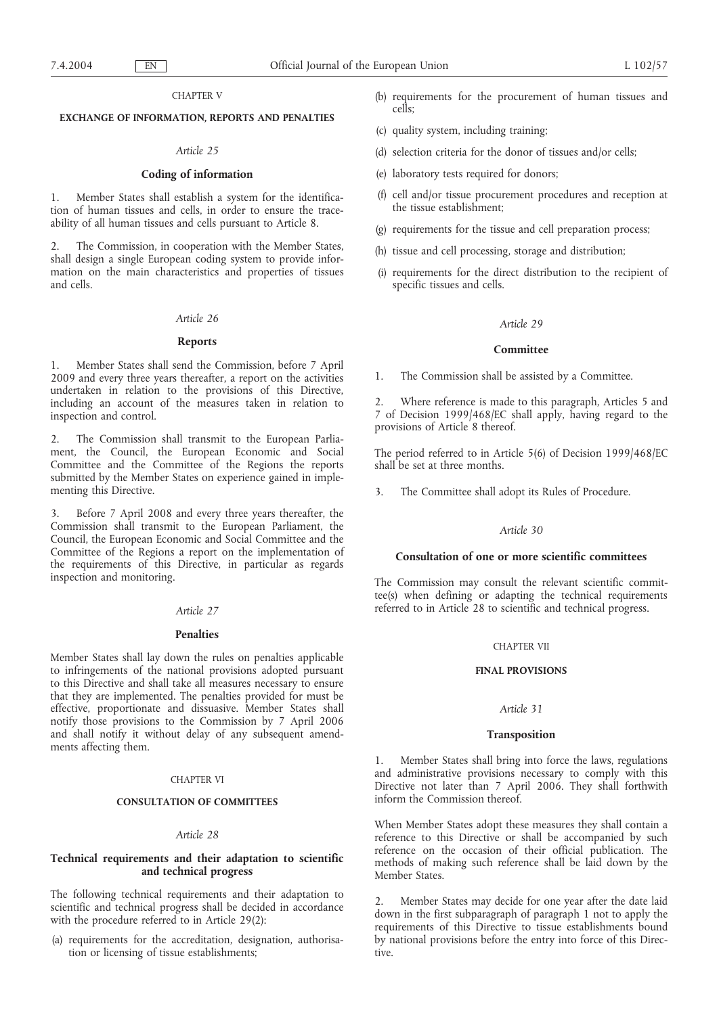#### CHAPTER V

#### **EXCHANGE OF INFORMATION, REPORTS AND PENALTIES**

### *Article 25*

### **Coding of information**

1. Member States shall establish a system for the identification of human tissues and cells, in order to ensure the traceability of all human tissues and cells pursuant to Article 8.

The Commission, in cooperation with the Member States, shall design a single European coding system to provide information on the main characteristics and properties of tissues and cells.

#### *Article 26*

#### **Reports**

1. Member States shall send the Commission, before 7 April 2009 and every three years thereafter, a report on the activities undertaken in relation to the provisions of this Directive, including an account of the measures taken in relation to inspection and control.

2. The Commission shall transmit to the European Parliament, the Council, the European Economic and Social Committee and the Committee of the Regions the reports submitted by the Member States on experience gained in implementing this Directive.

Before 7 April 2008 and every three years thereafter, the Commission shall transmit to the European Parliament, the Council, the European Economic and Social Committee and the Committee of the Regions a report on the implementation of the requirements of this Directive, in particular as regards inspection and monitoring.

#### *Article 27*

#### **Penalties**

Member States shall lay down the rules on penalties applicable to infringements of the national provisions adopted pursuant to this Directive and shall take all measures necessary to ensure that they are implemented. The penalties provided for must be effective, proportionate and dissuasive. Member States shall notify those provisions to the Commission by 7 April 2006 and shall notify it without delay of any subsequent amendments affecting them.

#### CHAPTER VI

### **CONSULTATION OF COMMITTEES**

#### *Article 28*

### **Technical requirements and their adaptation to scientific and technical progress**

The following technical requirements and their adaptation to scientific and technical progress shall be decided in accordance with the procedure referred to in Article 29(2):

(a) requirements for the accreditation, designation, authorisation or licensing of tissue establishments;

- (b) requirements for the procurement of human tissues and cells;
- (c) quality system, including training;
- (d) selection criteria for the donor of tissues and/or cells;
- (e) laboratory tests required for donors;
- (f) cell and/or tissue procurement procedures and reception at the tissue establishment;
- (g) requirements for the tissue and cell preparation process;
- (h) tissue and cell processing, storage and distribution;
- (i) requirements for the direct distribution to the recipient of specific tissues and cells.

#### *Article 29*

### **Committee**

1. The Commission shall be assisted by a Committee.

2. Where reference is made to this paragraph, Articles 5 and 7 of Decision 1999/468/EC shall apply, having regard to the provisions of Article 8 thereof.

The period referred to in Article 5(6) of Decision 1999/468/EC shall be set at three months.

3. The Committee shall adopt its Rules of Procedure.

#### *Article 30*

#### **Consultation of one or more scientific committees**

The Commission may consult the relevant scientific committee(s) when defining or adapting the technical requirements referred to in Article 28 to scientific and technical progress.

#### CHAPTER VII

#### **FINAL PROVISIONS**

### *Article 31*

#### **Transposition**

1. Member States shall bring into force the laws, regulations and administrative provisions necessary to comply with this Directive not later than 7 April 2006. They shall forthwith inform the Commission thereof.

When Member States adopt these measures they shall contain a reference to this Directive or shall be accompanied by such reference on the occasion of their official publication. The methods of making such reference shall be laid down by the Member States.

2. Member States may decide for one year after the date laid down in the first subparagraph of paragraph 1 not to apply the requirements of this Directive to tissue establishments bound by national provisions before the entry into force of this Directive.